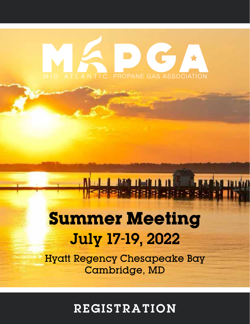## C  $\blacksquare$ PROPANE GAS ASSOCIATION

## **Summer Meeting** July 17-19, 2022

**LAMERALLA IN CARACTERISTIC** 

 $-1.1272$ 

Hyatt Regency Chesapeake Bay Cambridge, MD

REGISTRATION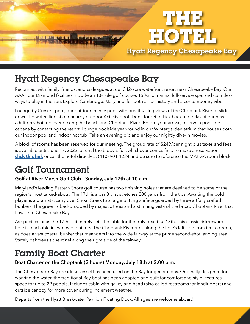

## Hyatt Regency Chesapeake Bay

Reconnect with family, friends, and colleagues at our 342-acre waterfront resort near Chesapeake Bay. Our AAA Four Diamond facilities include an 18-hole golf course, 150-slip marina, full-service spa, and countless ways to play in the sun. Explore Cambridge, Maryland, for both a rich history and a contemporary vibe.

Lounge by Cresent pool, our outdoor infinity pool, with breathtaking views of the Choptank River or slide down the waterslide at our nearby outdoor Activity pool! Don't forget to kick back and relax at our new adult-only hot tub overlooking the beach and Choptank River! Before your arrival, reserve a poolside cabana by contacting the resort. Lounge poolside year-round in our Wintergarden atrium that houses both our indoor pool and indoor hot tub! Take an evening dip and enjoy our nightly dive-in movies.

A block of rooms has been reserved for our meeting. The group rate of \$249/per night plus taxes and fees is available until June 17, 2022, or until the block is full, whichever comes first. To make a reservation, **[click this link](https://www.hyatt.com/en-US/group-booking/CHESA/G-AGPA)** or call the hotel directly at (410) 901-1234 and be sure to reference the MAPGA room block.

## Golf Tournament

#### **Golf at River Marsh Golf Club - Sunday, July 17th at 10 a.m.**

Maryland's leading Eastern Shore golf course has two finishing holes that are destined to be some of the region's most talked-about. The 17th is a par 3 that stretches 200 yards from the tips. Awaiting the bold player is a dramatic carry over Shoal Creek to a large putting surface guarded by three artfully crafted bunkers. The green is backdropped by majestic trees and a stunning vista of the broad Choptank River that flows into Chesapeake Bay.

As spectacular as the 17th is, it merely sets the table for the truly beautiful 18th. This classic risk/reward hole is reachable in two by big hitters. The Choptank River runs along the hole's left side from tee to green, as does a vast coastal bunker that meanders into the wide fairway at the prime second-shot landing area. Stately oak trees sit sentinel along the right side of the fairway.

## Family Boat Charter

#### **Boat Charter on the Choptank (2 hours) Monday, July 18th at 2:00 p.m.**

The Chesapeake Bay dreadrise vessel has been used on the Bay for generations. Originally designed for working the water, the traditional Bay boat has been adapted and built for comfort and style. Features space for up to 29 people. Includes cabin with galley and head (also called restrooms for landlubbers) and outside canopy for more cover during inclement weather.

Departs from the Hyatt Breakwater Pavilion Floating Dock. All ages are welcome aboard!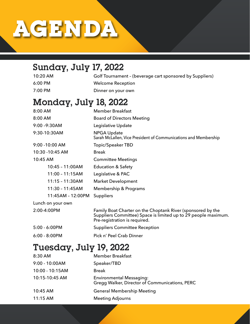# **AGENDA**

## Sunday, July 17, 2022

10:20 AM Golf Tournament – (beverage cart sponsored by Suppliers) 6:00 PM Welcome Reception 7:00 PM Dinner on your own

## Monday, July 18, 2022

| 8:00 AM           | <b>Member Breakfast</b>                                                                                                                                        |  |  |
|-------------------|----------------------------------------------------------------------------------------------------------------------------------------------------------------|--|--|
| 8:00 AM           | <b>Board of Directors Meeting</b>                                                                                                                              |  |  |
| 9:00 - 9:30 AM    | Legislative Update                                                                                                                                             |  |  |
| 9:30-10:30AM      | <b>NPGA Update</b><br>Sarah McLallen, Vice President of Communications and Membership                                                                          |  |  |
| 9:00 -10:00 AM    | <b>Topic/Speaker TBD</b>                                                                                                                                       |  |  |
| 10:30 -10:45 AM   | <b>Break</b>                                                                                                                                                   |  |  |
| 10:45 AM          | <b>Committee Meetings</b>                                                                                                                                      |  |  |
| 10:45 - 11:00AM   | <b>Education &amp; Safety</b>                                                                                                                                  |  |  |
| 11:00 - 11:15AM   | Legislative & PAC                                                                                                                                              |  |  |
| 11:15 - 11:30AM   | <b>Market Development</b>                                                                                                                                      |  |  |
| 11:30 - 11:45AM   | Membership & Programs                                                                                                                                          |  |  |
| 11:45AM - 12:00PM | <b>Suppliers</b>                                                                                                                                               |  |  |
| Lunch on your own |                                                                                                                                                                |  |  |
| 2:00-4:00PM       | Family Boat Charter on the Choptank River (sponsored by the<br>Suppliers Committee) Space is limited up to 29 people maximum.<br>Pre-registration is required. |  |  |
| 5:00 - 6:00PM     | <b>Suppliers Committee Reception</b>                                                                                                                           |  |  |
| $6:00 - 8:00$ PM  | Pick n' Peel Crab Dinner                                                                                                                                       |  |  |

## Tuesday, July 19, 2022

| <b>Member Breakfast</b>                                                           |
|-----------------------------------------------------------------------------------|
| Speaker/TBD                                                                       |
| <b>Break</b>                                                                      |
| <b>Environmental Messaging:</b><br>Gregg Walker, Director of Communications, PERC |
| <b>General Membership Meeting</b>                                                 |
| <b>Meeting Adjourns</b>                                                           |
|                                                                                   |